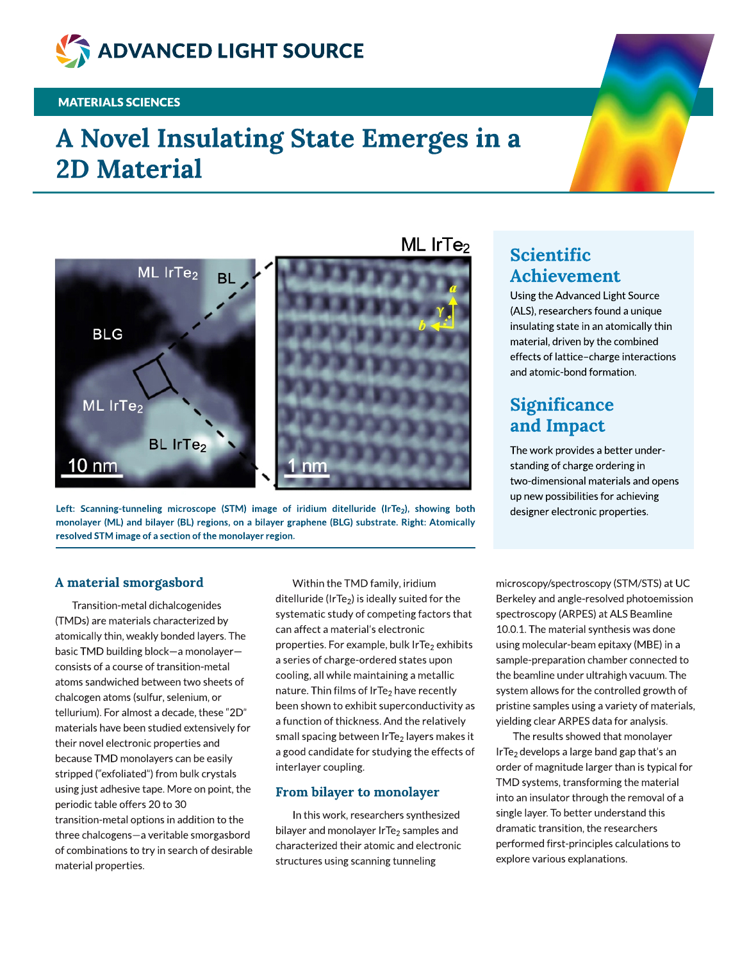

### **MATERIALS SCIENCES**

# A Novel Insulating State Emerges in a 2D Material





#### A material smorgasbord

Transition-metal dichalcogenides (TMDs) are materials characterized by atomically thin, weakly bonded layers. The basic TMD building block-a monolayerconsistsof a course of transition-metal atoms sandwiched between two sheets of chalcogen atoms(sulfur, selenium,or tellurium). For almost a decade, these "2D" materials have been studied extensively for their novel electronic properties and because TMD monolayers can be easily stripped ("exfoliated") from bulk crystals using just adhesive tape. More on point, the periodic table offers 20 to 30 transition-metal options in addition to the three chalcogens-a veritable smorgasbord of combinations to try in search of desirable material properties.

Within the TMD family, iridium ditelluride (IrTe<sub>2</sub>) is ideally suited for the systematic study of competing factors that can affect a material's electronic properties. For example, bulk IrTe<sub>2</sub> exhibits a series of charge-ordered states upon cooling,all while maintaining a metallic nature. Thin films of IrTe<sub>2</sub> have recently been shown to exhibit superconductivity as a function of thickness.And the relatively small spacing between IrTe<sub>2</sub> layers makes it a good candidate for studying the effects of interlayer coupling.

#### From bilayer to monolayer

In this work, researchers synthesized bilayer and monolayer IrTe<sub>2</sub> samples and characterized their atomic and electronic structures using scanning tunneling

## Scientific Achievement

Using the Advanced Light Source (ALS), researchers found a unique insulating state in an atomically thin material, driven by the combined effects of lattice-charge interactions and atomic-bond formation.

### **Significance** and Impact

The work provides a better understanding of charge ordering in two-dimensional materials and opens up new possibilities for achieving designer electronic properties.

microscopy/spectroscopy (STM/STS) at UC Berkeley and angle-resolved photoemission spectroscopy (ARPES) at ALS Beamline 10.0.1. The material synthesis was done using molecular-beam epitaxy (MBE) in a sample-preparation chamber connected to the beamline under ultrahigh vacuum.The system allows for the controlled growth of pristine samples using a variety of materials, yielding clear ARPES data for analysis.

The results showed that monolayer IrTe<sub>2</sub> develops a large band gap that's an order of magnitude larger than is typical for TMD systems, transforming the material into an insulator through the removal of a single layer.To better understand this dramatic transition, the researchers performed first-principles calculations to explore various explanations.